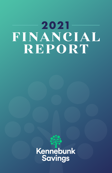# 2021 FINANCIAL REPORT

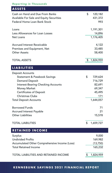# *Reporting in Thousands*

| <b>ASSETS</b>                                                                                                                                                                                                                                                                                                                                                                    |                                                                                                                     |  |
|----------------------------------------------------------------------------------------------------------------------------------------------------------------------------------------------------------------------------------------------------------------------------------------------------------------------------------------------------------------------------------|---------------------------------------------------------------------------------------------------------------------|--|
| Cash on Hand and Due From Banks<br>Available For Sale and Equity Securities<br><b>Federal Home Loan Bank Stock</b>                                                                                                                                                                                                                                                               | \$<br>120,182<br>431,372<br>993                                                                                     |  |
| Loans<br>Less Allowances for Loan Losses<br>Net Loans                                                                                                                                                                                                                                                                                                                            | 1,191,301<br>14,896<br>1,176,405                                                                                    |  |
| <b>Accrued Interest Receivable</b><br>Premises and Equipment, Net<br><b>Other Assets</b>                                                                                                                                                                                                                                                                                         | 4,122<br>33,485<br>58,400                                                                                           |  |
| <b>TOTAL ASSETS</b>                                                                                                                                                                                                                                                                                                                                                              | \$<br>1,824,959                                                                                                     |  |
| <b>LIABILITIES</b>                                                                                                                                                                                                                                                                                                                                                               |                                                                                                                     |  |
| <b>Deposit Accounts</b><br><b>Statement &amp; Passbook Savings</b><br><b>Demand Deposit</b><br><b>Interest-Bearing Checking Accounts</b><br><b>Money Market</b><br><b>Certificates of Deposit</b><br><b>Christmas Clubs</b><br><b>Total Deposit Accounts</b><br><b>Borrowed Funds</b><br><b>Accrued Interest Payable</b><br><b>Other Liabilities</b><br><b>TOTAL LIABILITIES</b> | \$<br>729,624<br>716,729<br>82,691<br>69,347<br>45,495<br>171<br>1,644,057<br>71<br>21<br>15,578<br>\$<br>1,659,727 |  |
| <b>RETAINED INCOME</b>                                                                                                                                                                                                                                                                                                                                                           |                                                                                                                     |  |
| Surplus<br><b>Undivided Profits</b><br>Accumulated Other Comprehensive Income (Loss)<br><b>Total Retained Income</b>                                                                                                                                                                                                                                                             | 9,000<br>169,982<br>(13,750)<br>165,232                                                                             |  |
| <b>TOTAL LIABILITIES AND RETAINED INCOME</b>                                                                                                                                                                                                                                                                                                                                     | \$<br>1,824,959                                                                                                     |  |

# **KENNEBUNK SAVINGS 2021 FINANCIAL REPORT**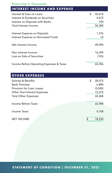# *Reporting in Thousands*

# **INTEREST INCOME AND EXPENSE**

| Interest & Fees on Loans                 | \$<br>45,614 |
|------------------------------------------|--------------|
| Interest & Dividends on Securities       | 4,572        |
| Interest on Deposits with Banks          | 194          |
| Total Interest Income                    | 50,380       |
| Interest Expense on Deposits             | 1,276        |
| Interest Expense on Borrowed Funds       | 14           |
| Net Interest Income                      | 49,090       |
| Non Interest Income                      | 16,359       |
| Loss on Sale of Securities               | (193)        |
| Income Before Operating Expenses & Taxes | 65,256       |

| <b>OTHER EXPENSES</b>              |              |
|------------------------------------|--------------|
| Salaries & Benefits                | \$<br>28,073 |
| <b>Bank Premises</b>               | 6,880        |
| Provision for Loan Losses          | (5,000)      |
| <b>Other Non-Interest Expenses</b> | 12,315       |
| <b>Total Other Expenses</b>        | 42,268       |
|                                    |              |
| Income Before Taxes                | 22,988       |
|                                    |              |
| <b>Income Taxes</b>                | 4,758        |
|                                    |              |
| <b>NET INCOME</b>                  | \$<br>18,230 |

**KENGINAL STATEMENT OF CONDITION | DECEMBER 31, 2021**